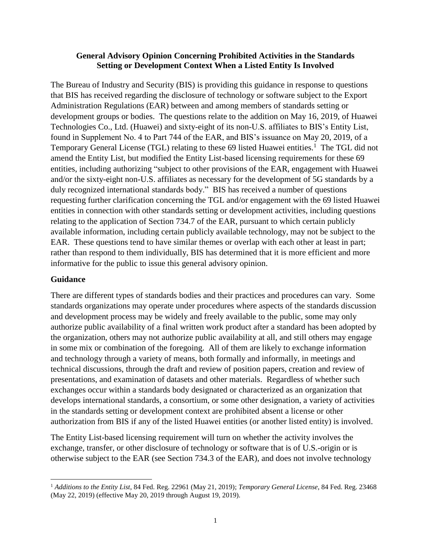## **General Advisory Opinion Concerning Prohibited Activities in the Standards Setting or Development Context When a Listed Entity Is Involved**

The Bureau of Industry and Security (BIS) is providing this guidance in response to questions that BIS has received regarding the disclosure of technology or software subject to the Export Administration Regulations (EAR) between and among members of standards setting or development groups or bodies. The questions relate to the addition on May 16, 2019, of Huawei Technologies Co., Ltd. (Huawei) and sixty-eight of its non-U.S. affiliates to BIS's Entity List, found in Supplement No. 4 to Part 744 of the EAR, and BIS's issuance on May 20, 2019, of a Temporary General License (TGL) relating to these 69 listed Huawei entities.<sup>1</sup> The TGL did not amend the Entity List, but modified the Entity List-based licensing requirements for these 69 entities, including authorizing "subject to other provisions of the EAR, engagement with Huawei and/or the sixty-eight non-U.S. affiliates as necessary for the development of 5G standards by a duly recognized international standards body." BIS has received a number of questions requesting further clarification concerning the TGL and/or engagement with the 69 listed Huawei entities in connection with other standards setting or development activities, including questions relating to the application of Section 734.7 of the EAR, pursuant to which certain publicly available information, including certain publicly available technology, may not be subject to the EAR. These questions tend to have similar themes or overlap with each other at least in part; rather than respond to them individually, BIS has determined that it is more efficient and more informative for the public to issue this general advisory opinion.

## **Guidance**

There are different types of standards bodies and their practices and procedures can vary. Some standards organizations may operate under procedures where aspects of the standards discussion and development process may be widely and freely available to the public, some may only authorize public availability of a final written work product after a standard has been adopted by the organization, others may not authorize public availability at all, and still others may engage in some mix or combination of the foregoing. All of them are likely to exchange information and technology through a variety of means, both formally and informally, in meetings and technical discussions, through the draft and review of position papers, creation and review of presentations, and examination of datasets and other materials. Regardless of whether such exchanges occur within a standards body designated or characterized as an organization that develops international standards, a consortium, or some other designation, a variety of activities in the standards setting or development context are prohibited absent a license or other authorization from BIS if any of the listed Huawei entities (or another listed entity) is involved.

The Entity List-based licensing requirement will turn on whether the activity involves the exchange, transfer, or other disclosure of technology or software that is of U.S.-origin or is otherwise subject to the EAR (see Section 734.3 of the EAR), and does not involve technology

 $\overline{\phantom{a}}$ <sup>1</sup> *Additions to the Entity List*, 84 Fed. Reg. 22961 (May 21, 2019); *Temporary General License*, 84 Fed. Reg. 23468 (May 22, 2019) (effective May 20, 2019 through August 19, 2019).